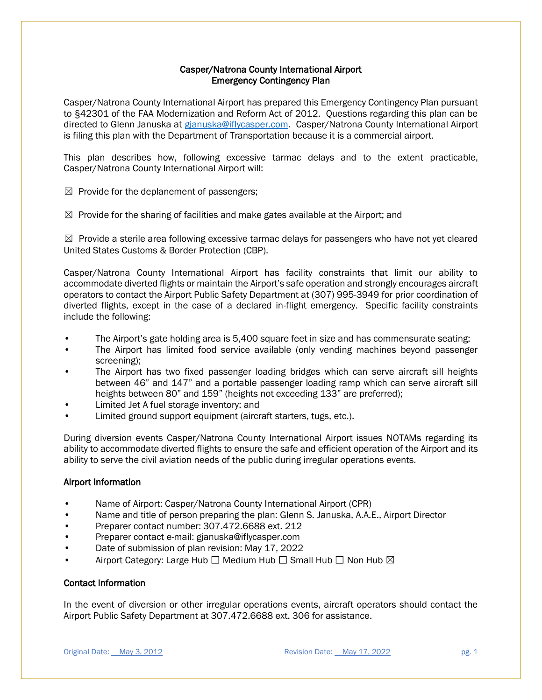# Casper/Natrona County International Airport Emergency Contingency Plan

Casper/Natrona County International Airport has prepared this Emergency Contingency Plan pursuant to §42301 of the FAA Modernization and Reform Act of 2012. Questions regarding this plan can be directed to Glenn Januska at [gjanuska@iflycasper.com.](mailto:gjanuska@iflycasper.com) Casper/Natrona County International Airport is filing this plan with the Department of Transportation because it is a commercial airport.

This plan describes how, following excessive tarmac delays and to the extent practicable, Casper/Natrona County International Airport will:

 $\boxtimes$  Provide for the deplanement of passengers;

 $\boxtimes$  Provide for the sharing of facilities and make gates available at the Airport; and

 $\boxtimes$  Provide a sterile area following excessive tarmac delays for passengers who have not yet cleared United States Customs & Border Protection (CBP).

Casper/Natrona County International Airport has facility constraints that limit our ability to accommodate diverted flights or maintain the Airport's safe operation and strongly encourages aircraft operators to contact the Airport Public Safety Department at (307) 995-3949 for prior coordination of diverted flights, except in the case of a declared in-flight emergency. Specific facility constraints include the following:

- The Airport's gate holding area is 5,400 square feet in size and has commensurate seating;
- The Airport has limited food service available (only vending machines beyond passenger screening);
- The Airport has two fixed passenger loading bridges which can serve aircraft sill heights between 46" and 147" and a portable passenger loading ramp which can serve aircraft sill heights between 80" and 159" (heights not exceeding 133" are preferred);
- Limited Jet A fuel storage inventory; and
- Limited ground support equipment (aircraft starters, tugs, etc.).

During diversion events Casper/Natrona County International Airport issues NOTAMs regarding its ability to accommodate diverted flights to ensure the safe and efficient operation of the Airport and its ability to serve the civil aviation needs of the public during irregular operations events.

# Airport Information

- Name of Airport: Casper/Natrona County International Airport (CPR)
- Name and title of person preparing the plan: Glenn S. Januska, A.A.E., Airport Director
- Preparer contact number: 307.472.6688 ext. 212
- Preparer contact e-mail: gjanuska@iflycasper.com
- Date of submission of plan revision: May 17, 2022
- Airport Category: Large Hub  $\Box$  Medium Hub  $\Box$  Small Hub  $\Box$  Non Hub  $\boxtimes$

## Contact Information

In the event of diversion or other irregular operations events, aircraft operators should contact the Airport Public Safety Department at 307.472.6688 ext. 306 for assistance.